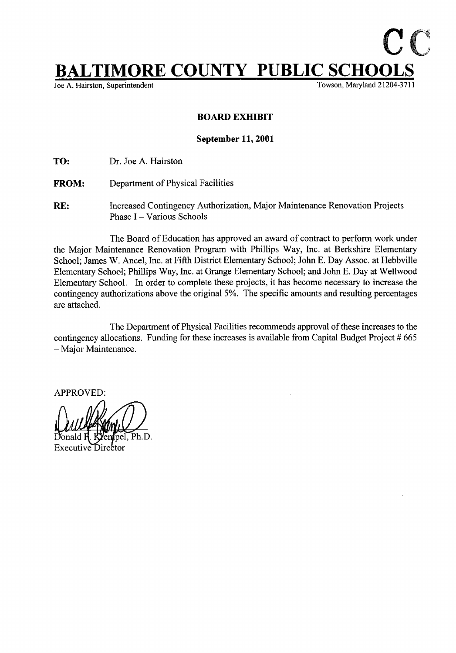## $\textcolor{red}{\textbf{IMORE COUNTY} \underbrace{\textbf{PUBLIC} \underbrace{\textbf{SCHOOL}}_{\textbf{Towson, Maryland 21204-37}}}$

Joe A. Hairston, Superintendent

## BOARD EXHIBIT

## September 11, 2001

TO: Dr. Joe A. Hairston

- FROM: Department of Physical Facilities
- RE: Increased Contingency Authorization, Major Maintenance Renovation Projects Phase I - Various Schools

The Board of Education has approved an award of contract to perform work under the Major Maintenance Renovation Program with Phillips Way, Inc . at Berkshire Elementary School; James W. Ancel, Inc. at Fifth District Elementary School; John E. Day Assoc. at Hebbville Elementary School; Phillips Way, Inc. at Grange Elementary School; and John E. Day at Wellwood Elementary School. In order to complete these projects, it has become necessary to increase the contingency authorizations above the original 5%. The specific amounts and resulting percentages are attached.

The Department of Physical Facilities recommends approval of these increases to the contingency allocations. Funding for these increases is available from Capital Budget Project # 665 - Major Maintenance.

APPROVED:

Ph.D.

**Executive Director**